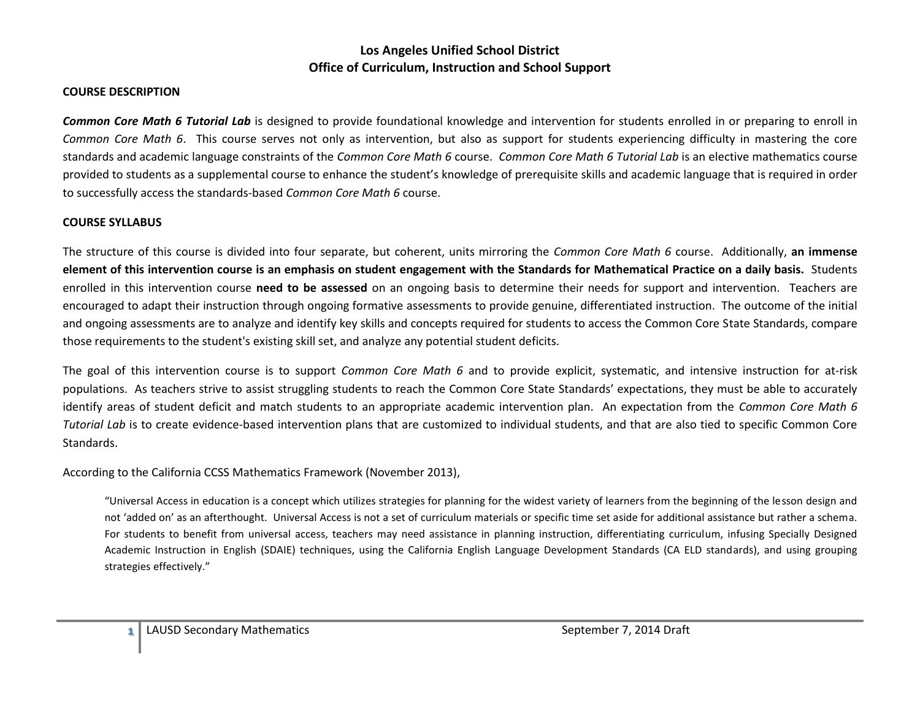#### **COURSE DESCRIPTION**

*Common Core Math 6 Tutorial Lab* is designed to provide foundational knowledge and intervention for students enrolled in or preparing to enroll in *Common Core Math 6*. This course serves not only as intervention, but also as support for students experiencing difficulty in mastering the core standards and academic language constraints of the *Common Core Math 6* course. *Common Core Math 6 Tutorial Lab* is an elective mathematics course provided to students as a supplemental course to enhance the student's knowledge of prerequisite skills and academic language that is required in order to successfully access the standards-based *Common Core Math 6* course.

#### **COURSE SYLLABUS**

The structure of this course is divided into four separate, but coherent, units mirroring the *Common Core Math 6* course. Additionally, **an immense element of this intervention course is an emphasis on student engagement with the Standards for Mathematical Practice on a daily basis.** Students enrolled in this intervention course **need to be assessed** on an ongoing basis to determine their needs for support and intervention. Teachers are encouraged to adapt their instruction through ongoing formative assessments to provide genuine, differentiated instruction. The outcome of the initial and ongoing assessments are to analyze and identify key skills and concepts required for students to access the Common Core State Standards, compare those requirements to the student's existing skill set, and analyze any potential student deficits.

The goal of this intervention course is to support *Common Core Math 6* and to provide explicit, systematic, and intensive instruction for at-risk populations. As teachers strive to assist struggling students to reach the Common Core State Standards' expectations, they must be able to accurately identify areas of student deficit and match students to an appropriate academic intervention plan. An expectation from the *Common Core Math 6 Tutorial Lab* is to create evidence-based intervention plans that are customized to individual students, and that are also tied to specific Common Core Standards.

According to the California CCSS Mathematics Framework (November 2013),

"Universal Access in education is a concept which utilizes strategies for planning for the widest variety of learners from the beginning of the lesson design and not 'added on' as an afterthought. Universal Access is not a set of curriculum materials or specific time set aside for additional assistance but rather a schema. For students to benefit from universal access, teachers may need assistance in planning instruction, differentiating curriculum, infusing Specially Designed Academic Instruction in English (SDAIE) techniques, using the California English Language Development Standards (CA ELD standards), and using grouping strategies effectively."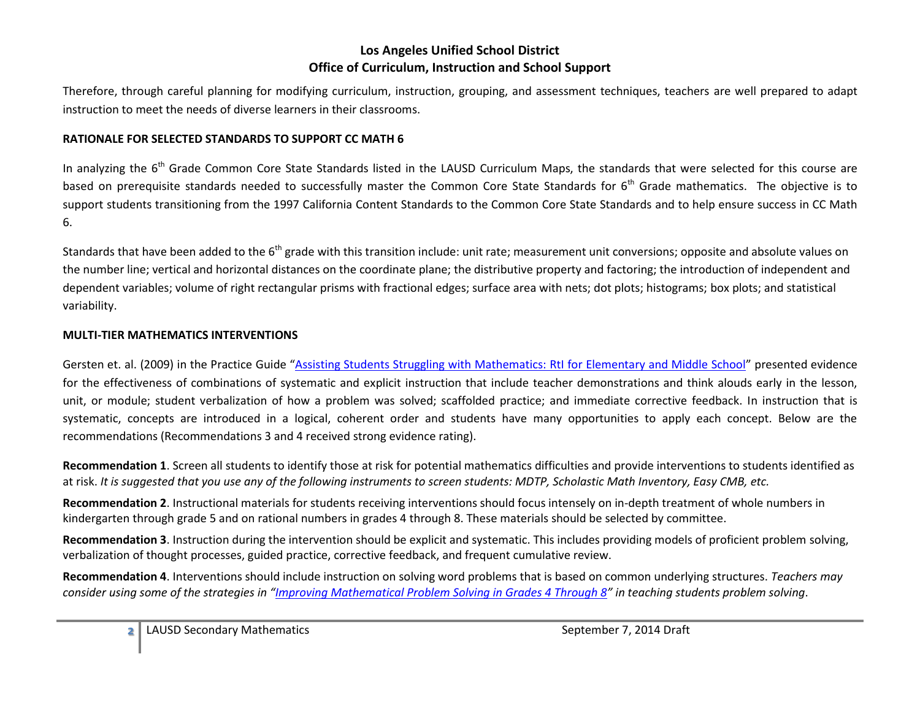Therefore, through careful planning for modifying curriculum, instruction, grouping, and assessment techniques, teachers are well prepared to adapt instruction to meet the needs of diverse learners in their classrooms.

#### **RATIONALE FOR SELECTED STANDARDS TO SUPPORT CC MATH 6**

In analyzing the 6<sup>th</sup> Grade Common Core State Standards listed in the LAUSD Curriculum Maps, the standards that were selected for this course are based on prerequisite standards needed to successfully master the Common Core State Standards for 6<sup>th</sup> Grade mathematics. The objective is to support students transitioning from the 1997 California Content Standards to the Common Core State Standards and to help ensure success in CC Math 6.

Standards that have been added to the 6<sup>th</sup> grade with this transition include: unit rate; measurement unit conversions; opposite and absolute values on the number line; vertical and horizontal distances on the coordinate plane; the distributive property and factoring; the introduction of independent and dependent variables; volume of right rectangular prisms with fractional edges; surface area with nets; dot plots; histograms; box plots; and statistical variability.

#### **MULTI-TIER MATHEMATICS INTERVENTIONS**

Gersten et. al. (2009) in the Practice Guide "[Assisting Students Struggling with Mathematics: RtI for Elementary and Middle School](http://ies.ed.gov/ncee/wwc/pdf/practice_guides/rti_math_pg_042109.pdf)" presented evidence for the effectiveness of combinations of systematic and explicit instruction that include teacher demonstrations and think alouds early in the lesson, unit, or module; student verbalization of how a problem was solved; scaffolded practice; and immediate corrective feedback. In instruction that is systematic, concepts are introduced in a logical, coherent order and students have many opportunities to apply each concept. Below are the recommendations (Recommendations 3 and 4 received strong evidence rating).

**Recommendation 1**. Screen all students to identify those at risk for potential mathematics difficulties and provide interventions to students identified as at risk. *It is suggested that you use any of the following instruments to screen students: MDTP, Scholastic Math Inventory, Easy CMB, etc.*

**Recommendation 2**. Instructional materials for students receiving interventions should focus intensely on in-depth treatment of whole numbers in kindergarten through grade 5 and on rational numbers in grades 4 through 8. These materials should be selected by committee.

**Recommendation 3**. Instruction during the intervention should be explicit and systematic. This includes providing models of proficient problem solving, verbalization of thought processes, guided practice, corrective feedback, and frequent cumulative review.

**Recommendation 4**. Interventions should include instruction on solving word problems that is based on common underlying structures. *Teachers may consider using some of the strategies in "[Improving Mathematical Problem Solving in Grades 4 Through 8](http://ies.ed.gov/ncee/wwc/pdf/practice_guides/mps_pg_052212.pdf)" in teaching students problem solving*.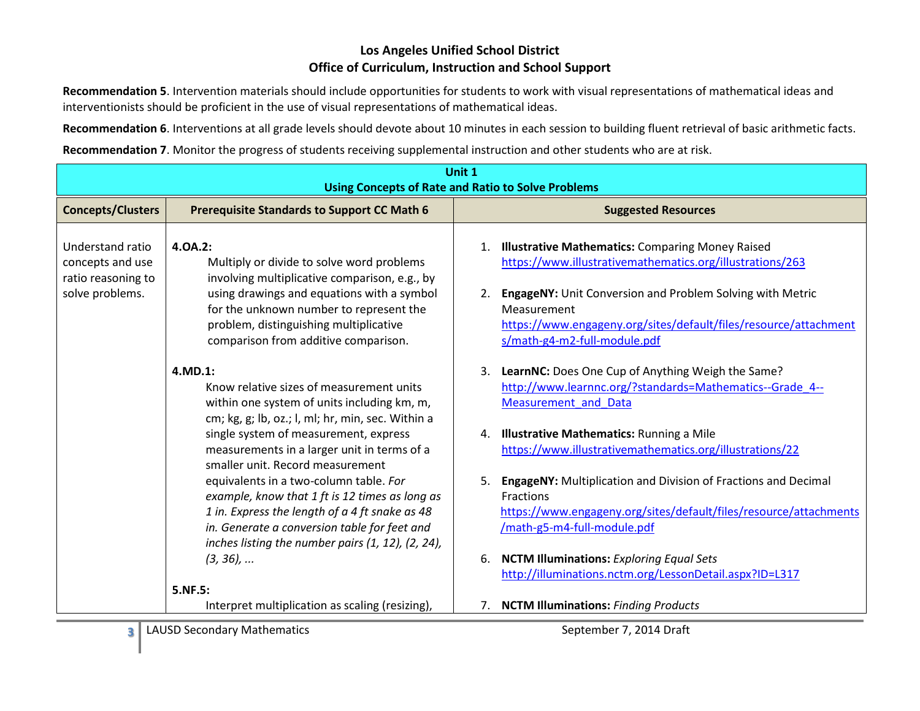**Recommendation 5**. Intervention materials should include opportunities for students to work with visual representations of mathematical ideas and interventionists should be proficient in the use of visual representations of mathematical ideas.

**Recommendation 6**. Interventions at all grade levels should devote about 10 minutes in each session to building fluent retrieval of basic arithmetic facts.

**Recommendation 7**. Monitor the progress of students receiving supplemental instruction and other students who are at risk.

| Unit 1<br><b>Using Concepts of Rate and Ratio to Solve Problems</b>           |                                                                                                                                                                                                                                                                                                                                    |                                                                                                                                                                                                                                                                                                        |
|-------------------------------------------------------------------------------|------------------------------------------------------------------------------------------------------------------------------------------------------------------------------------------------------------------------------------------------------------------------------------------------------------------------------------|--------------------------------------------------------------------------------------------------------------------------------------------------------------------------------------------------------------------------------------------------------------------------------------------------------|
| <b>Concepts/Clusters</b>                                                      | <b>Prerequisite Standards to Support CC Math 6</b>                                                                                                                                                                                                                                                                                 | <b>Suggested Resources</b>                                                                                                                                                                                                                                                                             |
| Understand ratio<br>concepts and use<br>ratio reasoning to<br>solve problems. | 4.0A.2:<br>Multiply or divide to solve word problems<br>involving multiplicative comparison, e.g., by<br>using drawings and equations with a symbol<br>for the unknown number to represent the<br>problem, distinguishing multiplicative<br>comparison from additive comparison.                                                   | 1. Illustrative Mathematics: Comparing Money Raised<br>https://www.illustrativemathematics.org/illustrations/263<br>EngageNY: Unit Conversion and Problem Solving with Metric<br>2.<br>Measurement<br>https://www.engageny.org/sites/default/files/resource/attachment<br>s/math-g4-m2-full-module.pdf |
|                                                                               | 4.MD.1:<br>Know relative sizes of measurement units<br>within one system of units including km, m,<br>cm; kg, g; lb, oz.; l, ml; hr, min, sec. Within a<br>single system of measurement, express                                                                                                                                   | 3. LearnNC: Does One Cup of Anything Weigh the Same?<br>http://www.learnnc.org/?standards=Mathematics--Grade 4--<br><b>Measurement and Data</b><br>4. Illustrative Mathematics: Running a Mile                                                                                                         |
|                                                                               | measurements in a larger unit in terms of a<br>smaller unit. Record measurement<br>equivalents in a two-column table. For<br>example, know that 1 ft is 12 times as long as<br>1 in. Express the length of a 4 ft snake as 48<br>in. Generate a conversion table for feet and<br>inches listing the number pairs (1, 12), (2, 24), | https://www.illustrativemathematics.org/illustrations/22<br>EngageNY: Multiplication and Division of Fractions and Decimal<br>5.<br>Fractions<br>https://www.engageny.org/sites/default/files/resource/attachments<br>/math-g5-m4-full-module.pdf                                                      |
|                                                                               | $(3, 36)$ ,<br>5.NF.5:<br>Interpret multiplication as scaling (resizing),                                                                                                                                                                                                                                                          | <b>NCTM Illuminations:</b> Exploring Equal Sets<br>6.<br>http://illuminations.nctm.org/LessonDetail.aspx?ID=L317<br>7. NCTM Illuminations: Finding Products                                                                                                                                            |
| 3                                                                             | <b>LAUSD Secondary Mathematics</b>                                                                                                                                                                                                                                                                                                 | September 7, 2014 Draft                                                                                                                                                                                                                                                                                |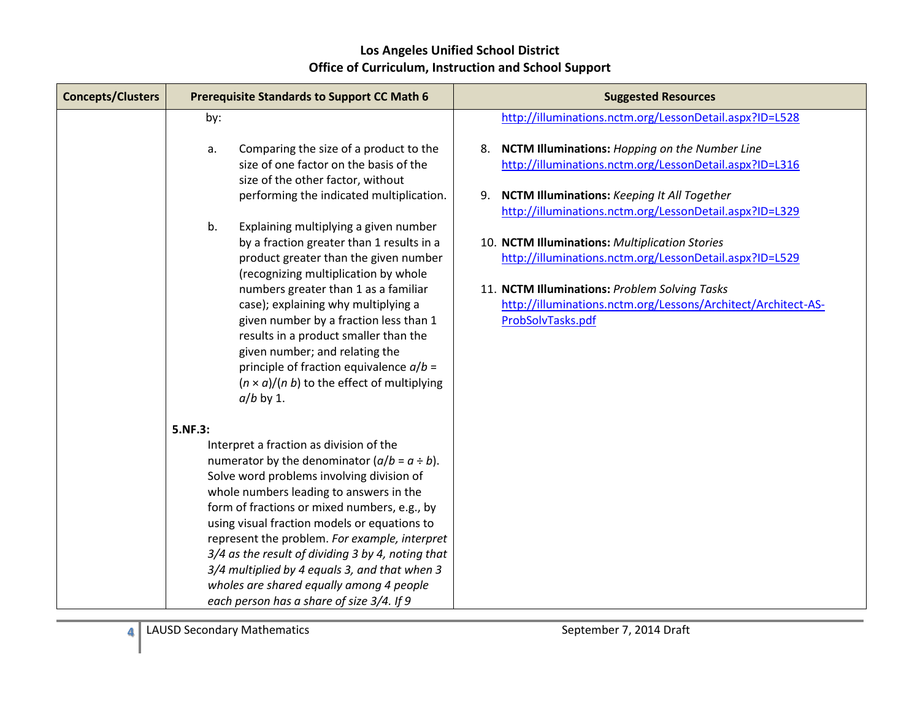| <b>Concepts/Clusters</b> | <b>Prerequisite Standards to Support CC Math 6</b>                                                                                                                                                                                                                                                                                                                                                                                                                                                                                   | <b>Suggested Resources</b>                                                                                                                                                                                                                                                                                  |
|--------------------------|--------------------------------------------------------------------------------------------------------------------------------------------------------------------------------------------------------------------------------------------------------------------------------------------------------------------------------------------------------------------------------------------------------------------------------------------------------------------------------------------------------------------------------------|-------------------------------------------------------------------------------------------------------------------------------------------------------------------------------------------------------------------------------------------------------------------------------------------------------------|
|                          | by:                                                                                                                                                                                                                                                                                                                                                                                                                                                                                                                                  | http://illuminations.nctm.org/LessonDetail.aspx?ID=L528                                                                                                                                                                                                                                                     |
|                          | Comparing the size of a product to the<br>a.<br>size of one factor on the basis of the<br>size of the other factor, without<br>performing the indicated multiplication.                                                                                                                                                                                                                                                                                                                                                              | 8. NCTM Illuminations: Hopping on the Number Line<br>http://illuminations.nctm.org/LessonDetail.aspx?ID=L316<br>9. NCTM Illuminations: Keeping It All Together                                                                                                                                              |
|                          | b.<br>Explaining multiplying a given number<br>by a fraction greater than 1 results in a<br>product greater than the given number<br>(recognizing multiplication by whole<br>numbers greater than 1 as a familiar<br>case); explaining why multiplying a<br>given number by a fraction less than 1<br>results in a product smaller than the<br>given number; and relating the<br>principle of fraction equivalence $a/b =$<br>$(n \times a)/(n b)$ to the effect of multiplying<br>$a/b$ by 1.                                       | http://illuminations.nctm.org/LessonDetail.aspx?ID=L329<br>10. NCTM Illuminations: Multiplication Stories<br>http://illuminations.nctm.org/LessonDetail.aspx?ID=L529<br>11. NCTM Illuminations: Problem Solving Tasks<br>http://illuminations.nctm.org/Lessons/Architect/Architect-AS-<br>ProbSolvTasks.pdf |
|                          | 5.NF.3:                                                                                                                                                                                                                                                                                                                                                                                                                                                                                                                              |                                                                                                                                                                                                                                                                                                             |
|                          | Interpret a fraction as division of the<br>numerator by the denominator $(a/b = a \div b)$ .<br>Solve word problems involving division of<br>whole numbers leading to answers in the<br>form of fractions or mixed numbers, e.g., by<br>using visual fraction models or equations to<br>represent the problem. For example, interpret<br>3/4 as the result of dividing 3 by 4, noting that<br>3/4 multiplied by 4 equals 3, and that when 3<br>wholes are shared equally among 4 people<br>each person has a share of size 3/4. If 9 |                                                                                                                                                                                                                                                                                                             |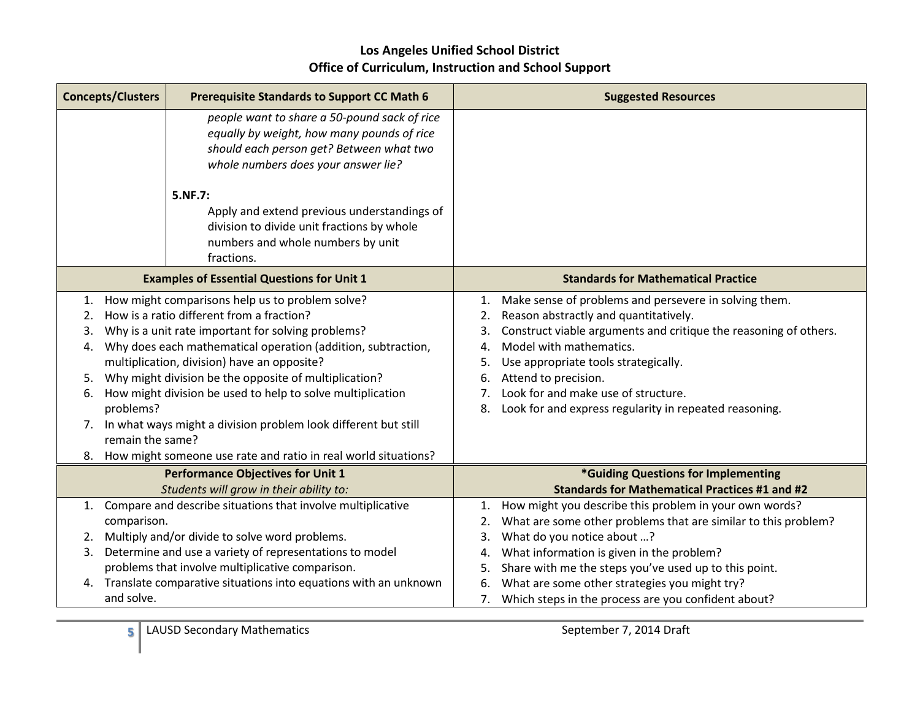| <b>Concepts/Clusters</b>                                                            | <b>Prerequisite Standards to Support CC Math 6</b>                                                                                                                                                                                                                                                                                                                                                                                                                                                                              | <b>Suggested Resources</b>                                                                                                                                                                                                                                                                                                                                                                                               |
|-------------------------------------------------------------------------------------|---------------------------------------------------------------------------------------------------------------------------------------------------------------------------------------------------------------------------------------------------------------------------------------------------------------------------------------------------------------------------------------------------------------------------------------------------------------------------------------------------------------------------------|--------------------------------------------------------------------------------------------------------------------------------------------------------------------------------------------------------------------------------------------------------------------------------------------------------------------------------------------------------------------------------------------------------------------------|
|                                                                                     | people want to share a 50-pound sack of rice<br>equally by weight, how many pounds of rice<br>should each person get? Between what two<br>whole numbers does your answer lie?                                                                                                                                                                                                                                                                                                                                                   |                                                                                                                                                                                                                                                                                                                                                                                                                          |
|                                                                                     | 5.NF.7:<br>Apply and extend previous understandings of<br>division to divide unit fractions by whole<br>numbers and whole numbers by unit<br>fractions.                                                                                                                                                                                                                                                                                                                                                                         |                                                                                                                                                                                                                                                                                                                                                                                                                          |
|                                                                                     | <b>Examples of Essential Questions for Unit 1</b>                                                                                                                                                                                                                                                                                                                                                                                                                                                                               | <b>Standards for Mathematical Practice</b>                                                                                                                                                                                                                                                                                                                                                                               |
| 1.<br>2.<br>3.<br>4.<br>5.<br>6.<br>problems?<br>7.<br>remain the same?             | How might comparisons help us to problem solve?<br>How is a ratio different from a fraction?<br>Why is a unit rate important for solving problems?<br>Why does each mathematical operation (addition, subtraction,<br>multiplication, division) have an opposite?<br>Why might division be the opposite of multiplication?<br>How might division be used to help to solve multiplication<br>In what ways might a division problem look different but still<br>8. How might someone use rate and ratio in real world situations? | Make sense of problems and persevere in solving them.<br>1.<br>Reason abstractly and quantitatively.<br>2.<br>Construct viable arguments and critique the reasoning of others.<br>3.<br>Model with mathematics.<br>$\mathbf{4}$<br>Use appropriate tools strategically.<br>5.<br>Attend to precision.<br>6.<br>Look for and make use of structure.<br>7.<br>Look for and express regularity in repeated reasoning.<br>8. |
| <b>Performance Objectives for Unit 1</b><br>Students will grow in their ability to: |                                                                                                                                                                                                                                                                                                                                                                                                                                                                                                                                 | *Guiding Questions for Implementing<br><b>Standards for Mathematical Practices #1 and #2</b>                                                                                                                                                                                                                                                                                                                             |
| 1.<br>comparison.<br>2.<br>3.                                                       | Compare and describe situations that involve multiplicative<br>Multiply and/or divide to solve word problems.<br>Determine and use a variety of representations to model<br>problems that involve multiplicative comparison.<br>4. Translate comparative situations into equations with an unknown                                                                                                                                                                                                                              | How might you describe this problem in your own words?<br>1.<br>What are some other problems that are similar to this problem?<br>2.<br>What do you notice about ?<br>3.<br>What information is given in the problem?<br>4.<br>Share with me the steps you've used up to this point.<br>5.<br>What are some other strategies you might try?<br>6.                                                                        |
| and solve.                                                                          |                                                                                                                                                                                                                                                                                                                                                                                                                                                                                                                                 | 7.<br>Which steps in the process are you confident about?                                                                                                                                                                                                                                                                                                                                                                |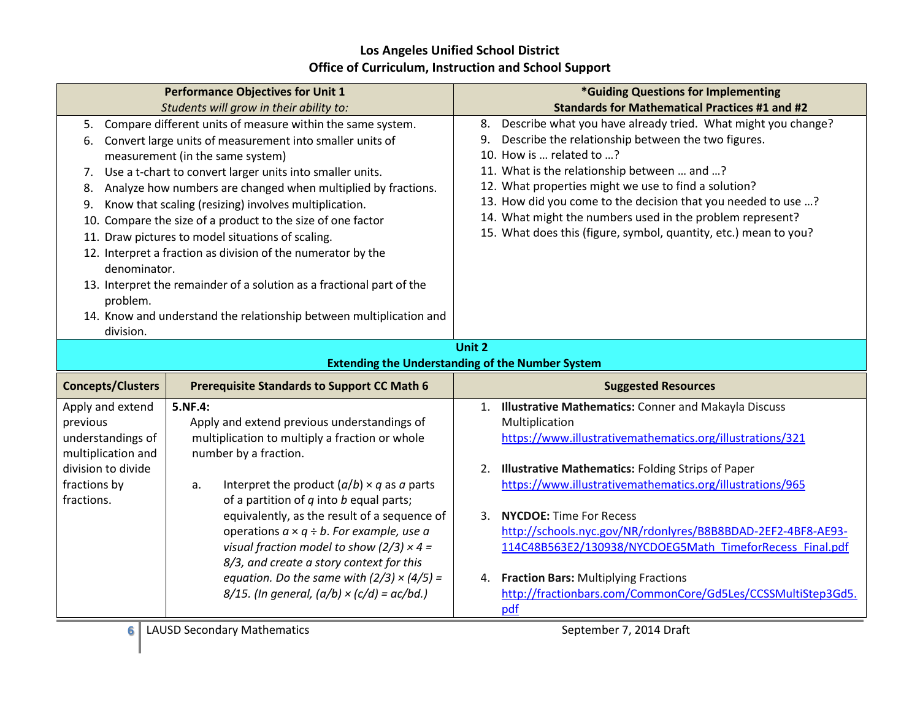|                                                                                                                                                                                                                                                                                                                                                                                                                                                                                                                                                                                                                                                                                                                                                                                                            | <b>Performance Objectives for Unit 1</b>                                                                                                                                                                                                                                                                                                                                                                                                                                                                                                                         | *Guiding Questions for Implementing                                                                                                                                                                                                                                                                                                                                                                                                                                                                                                                         |
|------------------------------------------------------------------------------------------------------------------------------------------------------------------------------------------------------------------------------------------------------------------------------------------------------------------------------------------------------------------------------------------------------------------------------------------------------------------------------------------------------------------------------------------------------------------------------------------------------------------------------------------------------------------------------------------------------------------------------------------------------------------------------------------------------------|------------------------------------------------------------------------------------------------------------------------------------------------------------------------------------------------------------------------------------------------------------------------------------------------------------------------------------------------------------------------------------------------------------------------------------------------------------------------------------------------------------------------------------------------------------------|-------------------------------------------------------------------------------------------------------------------------------------------------------------------------------------------------------------------------------------------------------------------------------------------------------------------------------------------------------------------------------------------------------------------------------------------------------------------------------------------------------------------------------------------------------------|
|                                                                                                                                                                                                                                                                                                                                                                                                                                                                                                                                                                                                                                                                                                                                                                                                            |                                                                                                                                                                                                                                                                                                                                                                                                                                                                                                                                                                  | <b>Standards for Mathematical Practices #1 and #2</b>                                                                                                                                                                                                                                                                                                                                                                                                                                                                                                       |
| Students will grow in their ability to:<br>Compare different units of measure within the same system.<br>5.<br>Convert large units of measurement into smaller units of<br>6.<br>measurement (in the same system)<br>Use a t-chart to convert larger units into smaller units.<br>7.<br>Analyze how numbers are changed when multiplied by fractions.<br>8.<br>Know that scaling (resizing) involves multiplication.<br>9.<br>Compare the size of a product to the size of one factor<br>10.<br>11. Draw pictures to model situations of scaling.<br>12. Interpret a fraction as division of the numerator by the<br>denominator.<br>13. Interpret the remainder of a solution as a fractional part of the<br>problem.<br>14. Know and understand the relationship between multiplication and<br>division. |                                                                                                                                                                                                                                                                                                                                                                                                                                                                                                                                                                  | Describe what you have already tried. What might you change?<br>8.<br>Describe the relationship between the two figures.<br>9.<br>10. How is  related to ?<br>11. What is the relationship between  and ?<br>12. What properties might we use to find a solution?<br>13. How did you come to the decision that you needed to use ?<br>14. What might the numbers used in the problem represent?<br>15. What does this (figure, symbol, quantity, etc.) mean to you?                                                                                         |
|                                                                                                                                                                                                                                                                                                                                                                                                                                                                                                                                                                                                                                                                                                                                                                                                            |                                                                                                                                                                                                                                                                                                                                                                                                                                                                                                                                                                  | Unit 2                                                                                                                                                                                                                                                                                                                                                                                                                                                                                                                                                      |
|                                                                                                                                                                                                                                                                                                                                                                                                                                                                                                                                                                                                                                                                                                                                                                                                            |                                                                                                                                                                                                                                                                                                                                                                                                                                                                                                                                                                  | <b>Extending the Understanding of the Number System</b>                                                                                                                                                                                                                                                                                                                                                                                                                                                                                                     |
| <b>Concepts/Clusters</b>                                                                                                                                                                                                                                                                                                                                                                                                                                                                                                                                                                                                                                                                                                                                                                                   | <b>Prerequisite Standards to Support CC Math 6</b>                                                                                                                                                                                                                                                                                                                                                                                                                                                                                                               | <b>Suggested Resources</b>                                                                                                                                                                                                                                                                                                                                                                                                                                                                                                                                  |
| Apply and extend<br>previous<br>understandings of<br>multiplication and<br>division to divide<br>fractions by<br>fractions.                                                                                                                                                                                                                                                                                                                                                                                                                                                                                                                                                                                                                                                                                | 5.NF.4:<br>Apply and extend previous understandings of<br>multiplication to multiply a fraction or whole<br>number by a fraction.<br>Interpret the product $(a/b) \times q$ as a parts<br>a.<br>of a partition of $q$ into $b$ equal parts;<br>equivalently, as the result of a sequence of<br>operations $a \times q \div b$ . For example, use a<br>visual fraction model to show (2/3) $\times$ 4 =<br>8/3, and create a story context for this<br>equation. Do the same with $(2/3) \times (4/5) =$<br>$8/15$ . (In general, $(a/b) \times (c/d) = ac/bd$ .) | 1. Illustrative Mathematics: Conner and Makayla Discuss<br>Multiplication<br>https://www.illustrativemathematics.org/illustrations/321<br>2. Illustrative Mathematics: Folding Strips of Paper<br>https://www.illustrativemathematics.org/illustrations/965<br><b>NYCDOE: Time For Recess</b><br>3.<br>http://schools.nyc.gov/NR/rdonlyres/B8B8BDAD-2EF2-4BF8-AE93-<br>114C48B563E2/130938/NYCDOEG5Math TimeforRecess Final.pdf<br><b>Fraction Bars: Multiplying Fractions</b><br>4.<br>http://fractionbars.com/CommonCore/Gd5Les/CCSSMultiStep3Gd5.<br>pdf |
| 6                                                                                                                                                                                                                                                                                                                                                                                                                                                                                                                                                                                                                                                                                                                                                                                                          | <b>LAUSD Secondary Mathematics</b>                                                                                                                                                                                                                                                                                                                                                                                                                                                                                                                               | September 7, 2014 Draft                                                                                                                                                                                                                                                                                                                                                                                                                                                                                                                                     |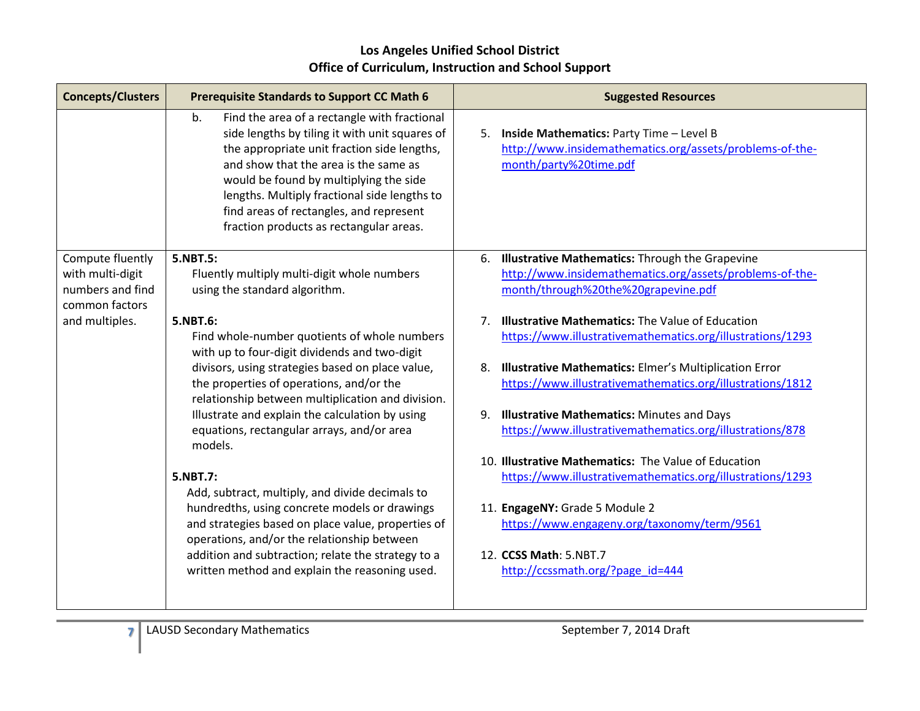| <b>Concepts/Clusters</b>                                                   | <b>Prerequisite Standards to Support CC Math 6</b>                                                                                                                                                                                                                                                                                                                           | <b>Suggested Resources</b>                                                                                                                            |
|----------------------------------------------------------------------------|------------------------------------------------------------------------------------------------------------------------------------------------------------------------------------------------------------------------------------------------------------------------------------------------------------------------------------------------------------------------------|-------------------------------------------------------------------------------------------------------------------------------------------------------|
|                                                                            | Find the area of a rectangle with fractional<br>b.<br>side lengths by tiling it with unit squares of<br>the appropriate unit fraction side lengths,<br>and show that the area is the same as<br>would be found by multiplying the side<br>lengths. Multiply fractional side lengths to<br>find areas of rectangles, and represent<br>fraction products as rectangular areas. | 5. Inside Mathematics: Party Time - Level B<br>http://www.insidemathematics.org/assets/problems-of-the-<br>month/party%20time.pdf                     |
| Compute fluently<br>with multi-digit<br>numbers and find<br>common factors | 5.NBT.5:<br>Fluently multiply multi-digit whole numbers<br>using the standard algorithm.                                                                                                                                                                                                                                                                                     | 6. Illustrative Mathematics: Through the Grapevine<br>http://www.insidemathematics.org/assets/problems-of-the-<br>month/through%20the%20grapevine.pdf |
| and multiples.                                                             | 5.NBT.6:<br>Find whole-number quotients of whole numbers<br>with up to four-digit dividends and two-digit                                                                                                                                                                                                                                                                    | <b>Illustrative Mathematics: The Value of Education</b><br>7 <sub>1</sub><br>https://www.illustrativemathematics.org/illustrations/1293               |
|                                                                            | divisors, using strategies based on place value,<br>the properties of operations, and/or the<br>relationship between multiplication and division.                                                                                                                                                                                                                            | <b>Illustrative Mathematics:</b> Elmer's Multiplication Error<br>8.<br>https://www.illustrativemathematics.org/illustrations/1812                     |
|                                                                            | Illustrate and explain the calculation by using<br>equations, rectangular arrays, and/or area<br>models.                                                                                                                                                                                                                                                                     | <b>Illustrative Mathematics: Minutes and Days</b><br>9.<br>https://www.illustrativemathematics.org/illustrations/878                                  |
|                                                                            | 5.NBT.7:<br>Add, subtract, multiply, and divide decimals to                                                                                                                                                                                                                                                                                                                  | 10. Illustrative Mathematics: The Value of Education<br>https://www.illustrativemathematics.org/illustrations/1293                                    |
|                                                                            | hundredths, using concrete models or drawings<br>and strategies based on place value, properties of<br>operations, and/or the relationship between                                                                                                                                                                                                                           | 11. EngageNY: Grade 5 Module 2<br>https://www.engageny.org/taxonomy/term/9561                                                                         |
|                                                                            | addition and subtraction; relate the strategy to a<br>written method and explain the reasoning used.                                                                                                                                                                                                                                                                         | 12. CCSS Math: 5.NBT.7<br>http://ccssmath.org/?page id=444                                                                                            |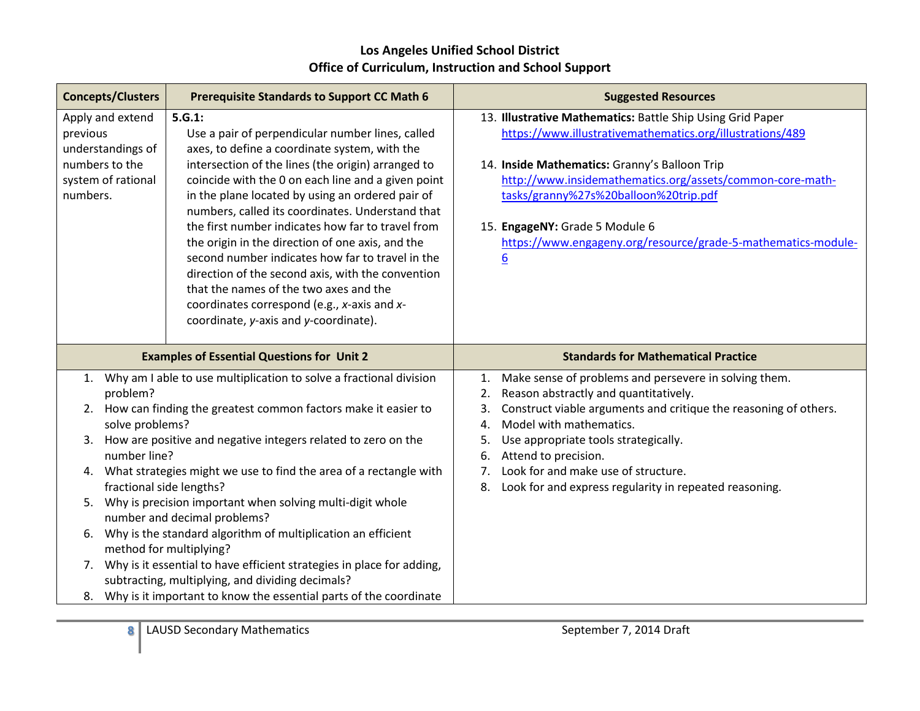| <b>Concepts/Clusters</b>                                                                              | <b>Prerequisite Standards to Support CC Math 6</b>                                                                                                                                                                                                                                                                                                                                                                                                                                                                                                                                                                                                                                              | <b>Suggested Resources</b>                                                                                                                                                                                                                                                                                                                                                                                     |
|-------------------------------------------------------------------------------------------------------|-------------------------------------------------------------------------------------------------------------------------------------------------------------------------------------------------------------------------------------------------------------------------------------------------------------------------------------------------------------------------------------------------------------------------------------------------------------------------------------------------------------------------------------------------------------------------------------------------------------------------------------------------------------------------------------------------|----------------------------------------------------------------------------------------------------------------------------------------------------------------------------------------------------------------------------------------------------------------------------------------------------------------------------------------------------------------------------------------------------------------|
| Apply and extend<br>previous<br>understandings of<br>numbers to the<br>system of rational<br>numbers. | 5.G.1:<br>Use a pair of perpendicular number lines, called<br>axes, to define a coordinate system, with the<br>intersection of the lines (the origin) arranged to<br>coincide with the 0 on each line and a given point<br>in the plane located by using an ordered pair of<br>numbers, called its coordinates. Understand that<br>the first number indicates how far to travel from<br>the origin in the direction of one axis, and the<br>second number indicates how far to travel in the<br>direction of the second axis, with the convention<br>that the names of the two axes and the<br>coordinates correspond (e.g., x-axis and x-<br>coordinate, y-axis and y-coordinate).             | 13. Illustrative Mathematics: Battle Ship Using Grid Paper<br>https://www.illustrativemathematics.org/illustrations/489<br>14. Inside Mathematics: Granny's Balloon Trip<br>http://www.insidemathematics.org/assets/common-core-math-<br>tasks/granny%27s%20balloon%20trip.pdf<br>15. EngageNY: Grade 5 Module 6<br>https://www.engageny.org/resource/grade-5-mathematics-module-<br>6                         |
|                                                                                                       | <b>Examples of Essential Questions for Unit 2</b>                                                                                                                                                                                                                                                                                                                                                                                                                                                                                                                                                                                                                                               | <b>Standards for Mathematical Practice</b>                                                                                                                                                                                                                                                                                                                                                                     |
| 1.<br>problem?<br>2.<br>solve problems?<br>3.<br>number line?<br>4.<br>5.<br>6.<br>7.<br>8.           | Why am I able to use multiplication to solve a fractional division<br>How can finding the greatest common factors make it easier to<br>How are positive and negative integers related to zero on the<br>What strategies might we use to find the area of a rectangle with<br>fractional side lengths?<br>Why is precision important when solving multi-digit whole<br>number and decimal problems?<br>Why is the standard algorithm of multiplication an efficient<br>method for multiplying?<br>Why is it essential to have efficient strategies in place for adding,<br>subtracting, multiplying, and dividing decimals?<br>Why is it important to know the essential parts of the coordinate | Make sense of problems and persevere in solving them.<br>1.<br>Reason abstractly and quantitatively.<br>2.<br>Construct viable arguments and critique the reasoning of others.<br>3.<br>Model with mathematics.<br>4.<br>Use appropriate tools strategically.<br>5.<br>Attend to precision.<br>6.<br>Look for and make use of structure.<br>7.<br>Look for and express regularity in repeated reasoning.<br>8. |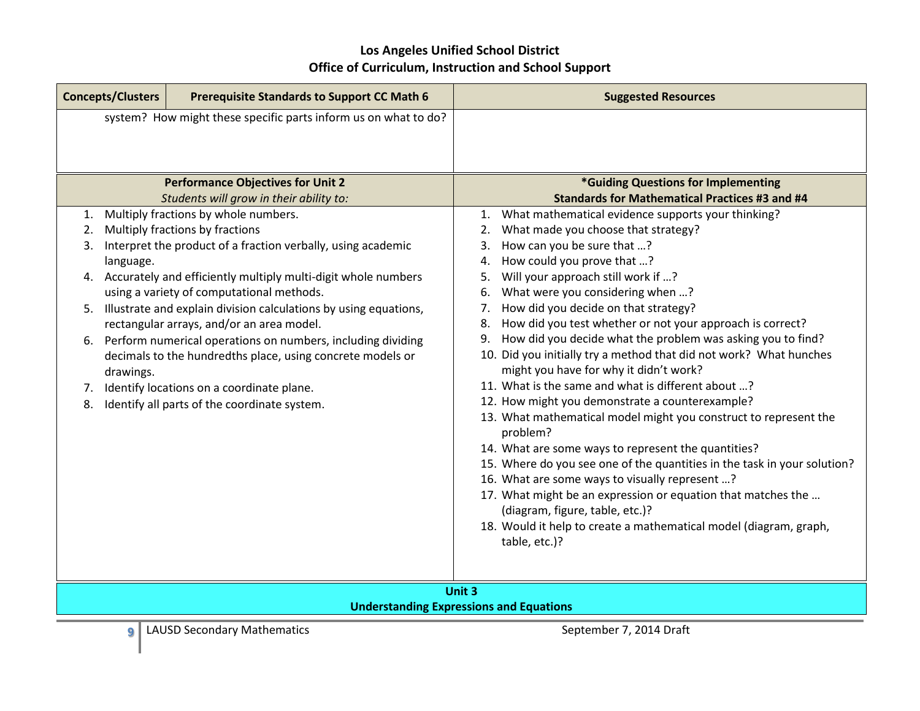| <b>Concepts/Clusters</b> | <b>Prerequisite Standards to Support CC Math 6</b>                                  | <b>Suggested Resources</b>                                                                   |
|--------------------------|-------------------------------------------------------------------------------------|----------------------------------------------------------------------------------------------|
|                          | system? How might these specific parts inform us on what to do?                     |                                                                                              |
|                          |                                                                                     |                                                                                              |
|                          |                                                                                     |                                                                                              |
|                          | <b>Performance Objectives for Unit 2</b><br>Students will grow in their ability to: | *Guiding Questions for Implementing<br><b>Standards for Mathematical Practices #3 and #4</b> |
| 1.                       | Multiply fractions by whole numbers.                                                | What mathematical evidence supports your thinking?<br>1.                                     |
| 2.                       | Multiply fractions by fractions                                                     | What made you choose that strategy?<br>2.                                                    |
| 3.                       | Interpret the product of a fraction verbally, using academic                        | How can you be sure that ?<br>3.                                                             |
| language.                |                                                                                     | How could you prove that ?<br>4.                                                             |
| 4.                       | Accurately and efficiently multiply multi-digit whole numbers                       | Will your approach still work if ?<br>5.                                                     |
|                          | using a variety of computational methods.                                           | What were you considering when ?<br>6.                                                       |
| 5.                       | Illustrate and explain division calculations by using equations,                    | 7. How did you decide on that strategy?                                                      |
|                          | rectangular arrays, and/or an area model.                                           | How did you test whether or not your approach is correct?<br>8.                              |
| 6.                       | Perform numerical operations on numbers, including dividing                         | How did you decide what the problem was asking you to find?<br>9.                            |
|                          | decimals to the hundredths place, using concrete models or                          | 10. Did you initially try a method that did not work? What hunches                           |
| drawings.                |                                                                                     | might you have for why it didn't work?                                                       |
| 7.                       | Identify locations on a coordinate plane.                                           | 11. What is the same and what is different about ?                                           |
| 8.                       | Identify all parts of the coordinate system.                                        | 12. How might you demonstrate a counterexample?                                              |
|                          |                                                                                     | 13. What mathematical model might you construct to represent the<br>problem?                 |
|                          |                                                                                     | 14. What are some ways to represent the quantities?                                          |
|                          |                                                                                     | 15. Where do you see one of the quantities in the task in your solution?                     |
|                          |                                                                                     | 16. What are some ways to visually represent ?                                               |
|                          |                                                                                     | 17. What might be an expression or equation that matches the                                 |
|                          |                                                                                     | (diagram, figure, table, etc.)?                                                              |
|                          |                                                                                     | 18. Would it help to create a mathematical model (diagram, graph,                            |
|                          |                                                                                     | table, etc.)?                                                                                |
|                          |                                                                                     |                                                                                              |
|                          |                                                                                     | Unit 3                                                                                       |
|                          |                                                                                     | <b>Understanding Expressions and Equations</b>                                               |
| 9                        | <b>LAUSD Secondary Mathematics</b>                                                  | September 7, 2014 Draft                                                                      |
|                          |                                                                                     |                                                                                              |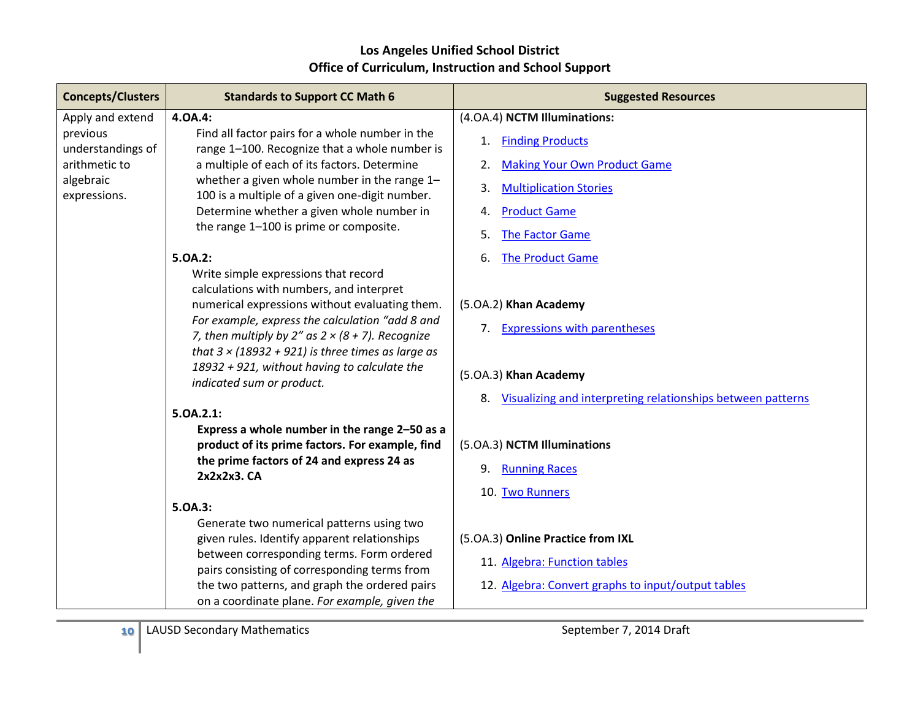| <b>Concepts/Clusters</b>      | <b>Standards to Support CC Math 6</b>                                                                                                                                                                                                                                                                                                                                                                                                                    | <b>Suggested Resources</b>                                                                                                                          |
|-------------------------------|----------------------------------------------------------------------------------------------------------------------------------------------------------------------------------------------------------------------------------------------------------------------------------------------------------------------------------------------------------------------------------------------------------------------------------------------------------|-----------------------------------------------------------------------------------------------------------------------------------------------------|
| Apply and extend              | 4.0A.4:                                                                                                                                                                                                                                                                                                                                                                                                                                                  | (4.0A.4) NCTM Illuminations:                                                                                                                        |
| previous<br>understandings of | Find all factor pairs for a whole number in the<br>range 1-100. Recognize that a whole number is                                                                                                                                                                                                                                                                                                                                                         | <b>Finding Products</b><br>1.                                                                                                                       |
| arithmetic to                 | a multiple of each of its factors. Determine                                                                                                                                                                                                                                                                                                                                                                                                             | <b>Making Your Own Product Game</b><br>2.                                                                                                           |
| algebraic                     | whether a given whole number in the range 1-                                                                                                                                                                                                                                                                                                                                                                                                             | 3.<br><b>Multiplication Stories</b>                                                                                                                 |
| expressions.                  | 100 is a multiple of a given one-digit number.                                                                                                                                                                                                                                                                                                                                                                                                           |                                                                                                                                                     |
|                               | Determine whether a given whole number in<br>the range 1-100 is prime or composite.                                                                                                                                                                                                                                                                                                                                                                      | <b>Product Game</b><br>4.                                                                                                                           |
|                               |                                                                                                                                                                                                                                                                                                                                                                                                                                                          | The Factor Game<br>5.                                                                                                                               |
|                               | 5.0A.2:                                                                                                                                                                                                                                                                                                                                                                                                                                                  | <b>The Product Game</b><br>6.                                                                                                                       |
|                               | Write simple expressions that record<br>calculations with numbers, and interpret<br>numerical expressions without evaluating them.<br>For example, express the calculation "add 8 and<br>7, then multiply by 2" as $2 \times (8 + 7)$ . Recognize<br>that $3 \times (18932 + 921)$ is three times as large as<br>18932 + 921, without having to calculate the<br>indicated sum or product.<br>5.0A.2.1:<br>Express a whole number in the range 2-50 as a | (5.0A.2) Khan Academy<br>7. Expressions with parentheses<br>(5.0A.3) Khan Academy<br>8. Visualizing and interpreting relationships between patterns |
|                               | product of its prime factors. For example, find                                                                                                                                                                                                                                                                                                                                                                                                          | (5.0A.3) NCTM Illuminations                                                                                                                         |
|                               | the prime factors of 24 and express 24 as<br>2x2x2x3. CA                                                                                                                                                                                                                                                                                                                                                                                                 | 9.<br><b>Running Races</b>                                                                                                                          |
|                               |                                                                                                                                                                                                                                                                                                                                                                                                                                                          | 10. Two Runners                                                                                                                                     |
|                               | 5.0A.3:                                                                                                                                                                                                                                                                                                                                                                                                                                                  |                                                                                                                                                     |
|                               | Generate two numerical patterns using two                                                                                                                                                                                                                                                                                                                                                                                                                |                                                                                                                                                     |
|                               | given rules. Identify apparent relationships<br>between corresponding terms. Form ordered                                                                                                                                                                                                                                                                                                                                                                | (5.0A.3) Online Practice from IXL                                                                                                                   |
|                               | pairs consisting of corresponding terms from                                                                                                                                                                                                                                                                                                                                                                                                             | 11. Algebra: Function tables                                                                                                                        |
|                               | the two patterns, and graph the ordered pairs                                                                                                                                                                                                                                                                                                                                                                                                            | 12. Algebra: Convert graphs to input/output tables                                                                                                  |
|                               | on a coordinate plane. For example, given the                                                                                                                                                                                                                                                                                                                                                                                                            |                                                                                                                                                     |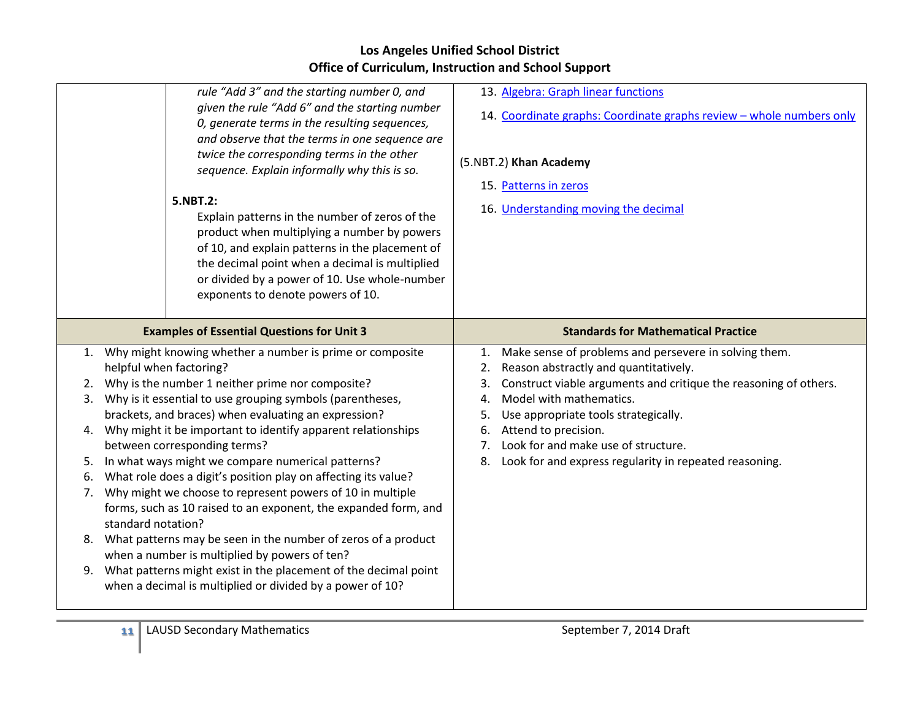|                                                                                                                                                                                                                                                                                                                                                                                                                                                                                                                                                                                                                                                                                                                                                                                                                                                                                                                                             | rule "Add 3" and the starting number 0, and<br>given the rule "Add 6" and the starting number<br>0, generate terms in the resulting sequences,<br>and observe that the terms in one sequence are<br>twice the corresponding terms in the other<br>sequence. Explain informally why this is so.<br>5.NBT.2:<br>Explain patterns in the number of zeros of the<br>product when multiplying a number by powers<br>of 10, and explain patterns in the placement of<br>the decimal point when a decimal is multiplied<br>or divided by a power of 10. Use whole-number<br>exponents to denote powers of 10. | 13. Algebra: Graph linear functions<br>14. Coordinate graphs: Coordinate graphs review - whole numbers only<br>(5.NBT.2) Khan Academy<br>15. Patterns in zeros<br>16. Understanding moving the decimal                                                                                                                                                                                                   |
|---------------------------------------------------------------------------------------------------------------------------------------------------------------------------------------------------------------------------------------------------------------------------------------------------------------------------------------------------------------------------------------------------------------------------------------------------------------------------------------------------------------------------------------------------------------------------------------------------------------------------------------------------------------------------------------------------------------------------------------------------------------------------------------------------------------------------------------------------------------------------------------------------------------------------------------------|--------------------------------------------------------------------------------------------------------------------------------------------------------------------------------------------------------------------------------------------------------------------------------------------------------------------------------------------------------------------------------------------------------------------------------------------------------------------------------------------------------------------------------------------------------------------------------------------------------|----------------------------------------------------------------------------------------------------------------------------------------------------------------------------------------------------------------------------------------------------------------------------------------------------------------------------------------------------------------------------------------------------------|
|                                                                                                                                                                                                                                                                                                                                                                                                                                                                                                                                                                                                                                                                                                                                                                                                                                                                                                                                             | <b>Examples of Essential Questions for Unit 3</b>                                                                                                                                                                                                                                                                                                                                                                                                                                                                                                                                                      | <b>Standards for Mathematical Practice</b>                                                                                                                                                                                                                                                                                                                                                               |
| 1. Why might knowing whether a number is prime or composite<br>helpful when factoring?<br>Why is the number 1 neither prime nor composite?<br>2.<br>Why is it essential to use grouping symbols (parentheses,<br>3.<br>brackets, and braces) when evaluating an expression?<br>Why might it be important to identify apparent relationships<br>4.<br>between corresponding terms?<br>In what ways might we compare numerical patterns?<br>5.<br>What role does a digit's position play on affecting its value?<br>6.<br>Why might we choose to represent powers of 10 in multiple<br>7.<br>forms, such as 10 raised to an exponent, the expanded form, and<br>standard notation?<br>8. What patterns may be seen in the number of zeros of a product<br>when a number is multiplied by powers of ten?<br>What patterns might exist in the placement of the decimal point<br>9.<br>when a decimal is multiplied or divided by a power of 10? |                                                                                                                                                                                                                                                                                                                                                                                                                                                                                                                                                                                                        | Make sense of problems and persevere in solving them.<br>1.<br>Reason abstractly and quantitatively.<br>Construct viable arguments and critique the reasoning of others.<br>3.<br>Model with mathematics.<br>4.<br>Use appropriate tools strategically.<br>5.<br>Attend to precision.<br>6.<br>Look for and make use of structure.<br>7.<br>Look for and express regularity in repeated reasoning.<br>8. |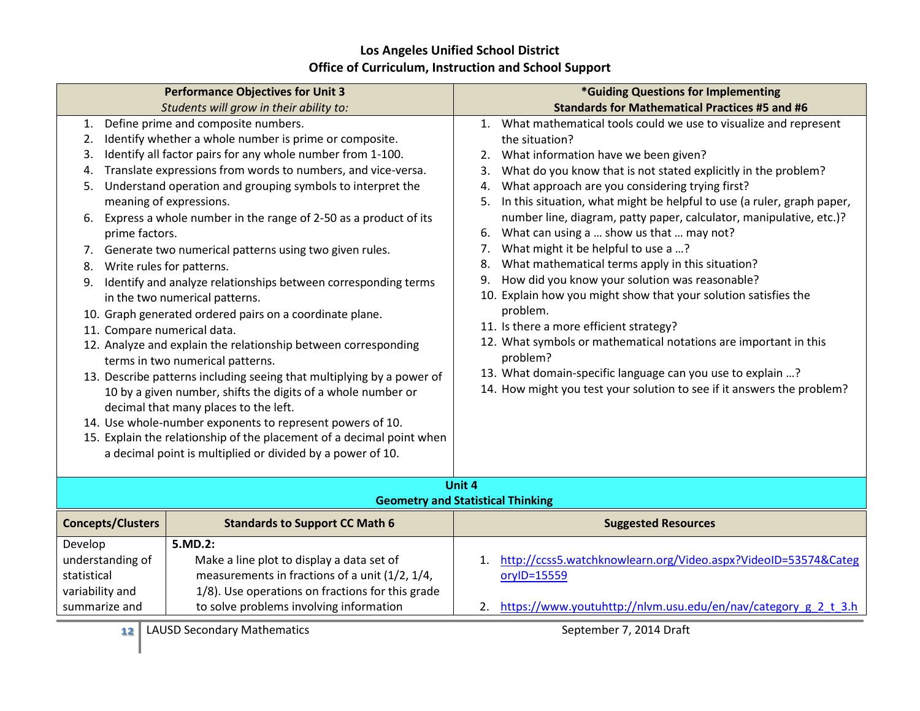| <b>Performance Objectives for Unit 3</b>                                                                                                                                                                                                                                                                                                                                                                                                                                                                                                                                                                                                                                                                                                                                                                                                                                                                                                                                                                                                                                                                                                                                            |                          |                                                                                                                                                                                                       | *Guiding Questions for Implementing                                                                                                                                                                                                                                                                                                                                                                                                                                                                                                                                                                                                                                                                                                                                                                                                                                                                                                                                                     |
|-------------------------------------------------------------------------------------------------------------------------------------------------------------------------------------------------------------------------------------------------------------------------------------------------------------------------------------------------------------------------------------------------------------------------------------------------------------------------------------------------------------------------------------------------------------------------------------------------------------------------------------------------------------------------------------------------------------------------------------------------------------------------------------------------------------------------------------------------------------------------------------------------------------------------------------------------------------------------------------------------------------------------------------------------------------------------------------------------------------------------------------------------------------------------------------|--------------------------|-------------------------------------------------------------------------------------------------------------------------------------------------------------------------------------------------------|-----------------------------------------------------------------------------------------------------------------------------------------------------------------------------------------------------------------------------------------------------------------------------------------------------------------------------------------------------------------------------------------------------------------------------------------------------------------------------------------------------------------------------------------------------------------------------------------------------------------------------------------------------------------------------------------------------------------------------------------------------------------------------------------------------------------------------------------------------------------------------------------------------------------------------------------------------------------------------------------|
|                                                                                                                                                                                                                                                                                                                                                                                                                                                                                                                                                                                                                                                                                                                                                                                                                                                                                                                                                                                                                                                                                                                                                                                     |                          | Students will grow in their ability to:                                                                                                                                                               | <b>Standards for Mathematical Practices #5 and #6</b>                                                                                                                                                                                                                                                                                                                                                                                                                                                                                                                                                                                                                                                                                                                                                                                                                                                                                                                                   |
| Define prime and composite numbers.<br>1.<br>Identify whether a whole number is prime or composite.<br>2.<br>Identify all factor pairs for any whole number from 1-100.<br>3.<br>Translate expressions from words to numbers, and vice-versa.<br>4.<br>Understand operation and grouping symbols to interpret the<br>5.<br>meaning of expressions.<br>Express a whole number in the range of 2-50 as a product of its<br>6.<br>prime factors.<br>Generate two numerical patterns using two given rules.<br>7.<br>Write rules for patterns.<br>8.<br>Identify and analyze relationships between corresponding terms<br>9.<br>in the two numerical patterns.<br>10. Graph generated ordered pairs on a coordinate plane.<br>11. Compare numerical data.<br>12. Analyze and explain the relationship between corresponding<br>terms in two numerical patterns.<br>13. Describe patterns including seeing that multiplying by a power of<br>10 by a given number, shifts the digits of a whole number or<br>decimal that many places to the left.<br>14. Use whole-number exponents to represent powers of 10.<br>15. Explain the relationship of the placement of a decimal point when |                          | a decimal point is multiplied or divided by a power of 10.                                                                                                                                            | 1. What mathematical tools could we use to visualize and represent<br>the situation?<br>2. What information have we been given?<br>What do you know that is not stated explicitly in the problem?<br>3.<br>What approach are you considering trying first?<br>4.<br>In this situation, what might be helpful to use (a ruler, graph paper,<br>5.<br>number line, diagram, patty paper, calculator, manipulative, etc.)?<br>6. What can using a  show us that  may not?<br>What might it be helpful to use a ?<br>7.<br>What mathematical terms apply in this situation?<br>8.<br>How did you know your solution was reasonable?<br>9.<br>10. Explain how you might show that your solution satisfies the<br>problem.<br>11. Is there a more efficient strategy?<br>12. What symbols or mathematical notations are important in this<br>problem?<br>13. What domain-specific language can you use to explain ?<br>14. How might you test your solution to see if it answers the problem? |
|                                                                                                                                                                                                                                                                                                                                                                                                                                                                                                                                                                                                                                                                                                                                                                                                                                                                                                                                                                                                                                                                                                                                                                                     |                          |                                                                                                                                                                                                       | Unit 4                                                                                                                                                                                                                                                                                                                                                                                                                                                                                                                                                                                                                                                                                                                                                                                                                                                                                                                                                                                  |
|                                                                                                                                                                                                                                                                                                                                                                                                                                                                                                                                                                                                                                                                                                                                                                                                                                                                                                                                                                                                                                                                                                                                                                                     |                          |                                                                                                                                                                                                       | <b>Geometry and Statistical Thinking</b>                                                                                                                                                                                                                                                                                                                                                                                                                                                                                                                                                                                                                                                                                                                                                                                                                                                                                                                                                |
|                                                                                                                                                                                                                                                                                                                                                                                                                                                                                                                                                                                                                                                                                                                                                                                                                                                                                                                                                                                                                                                                                                                                                                                     | <b>Concepts/Clusters</b> | <b>Standards to Support CC Math 6</b>                                                                                                                                                                 | <b>Suggested Resources</b>                                                                                                                                                                                                                                                                                                                                                                                                                                                                                                                                                                                                                                                                                                                                                                                                                                                                                                                                                              |
| Develop<br>understanding of<br>statistical<br>variability and<br>summarize and                                                                                                                                                                                                                                                                                                                                                                                                                                                                                                                                                                                                                                                                                                                                                                                                                                                                                                                                                                                                                                                                                                      |                          | 5.MD.2:<br>Make a line plot to display a data set of<br>measurements in fractions of a unit (1/2, 1/4,<br>1/8). Use operations on fractions for this grade<br>to solve problems involving information | http://ccss5.watchknowlearn.org/Video.aspx?VideoID=53574&Categ<br>1.<br>oryID=15559<br>2. https://www.youtuhttp://nlvm.usu.edu/en/nav/category_g_2_t_3.h                                                                                                                                                                                                                                                                                                                                                                                                                                                                                                                                                                                                                                                                                                                                                                                                                                |
|                                                                                                                                                                                                                                                                                                                                                                                                                                                                                                                                                                                                                                                                                                                                                                                                                                                                                                                                                                                                                                                                                                                                                                                     | 12                       | <b>LAUSD Secondary Mathematics</b>                                                                                                                                                                    | September 7, 2014 Draft                                                                                                                                                                                                                                                                                                                                                                                                                                                                                                                                                                                                                                                                                                                                                                                                                                                                                                                                                                 |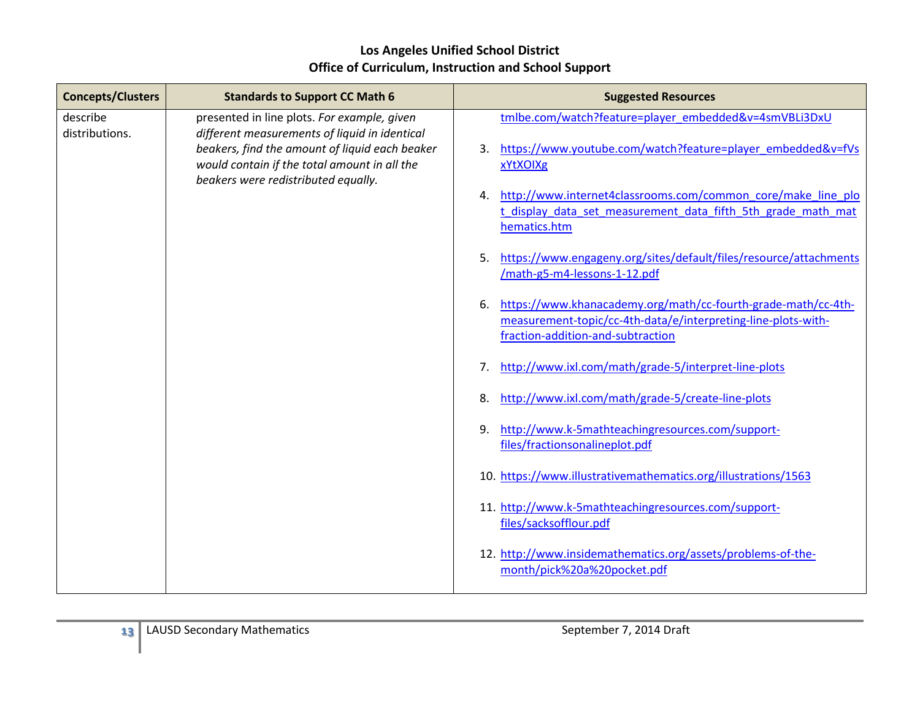| <b>Concepts/Clusters</b>   | <b>Standards to Support CC Math 6</b>                                                                                                                                                                                                 | <b>Suggested Resources</b>                                                                                                                                                                                   |
|----------------------------|---------------------------------------------------------------------------------------------------------------------------------------------------------------------------------------------------------------------------------------|--------------------------------------------------------------------------------------------------------------------------------------------------------------------------------------------------------------|
| describe<br>distributions. | presented in line plots. For example, given<br>different measurements of liquid in identical<br>beakers, find the amount of liquid each beaker<br>would contain if the total amount in all the<br>beakers were redistributed equally. | tmlbe.com/watch?feature=player_embedded&v=4smVBLi3DxU<br>https://www.youtube.com/watch?feature=player_embedded&v=fVs<br>3.<br>xYtXOIXg<br>http://www.internet4classrooms.com/common core/make line plo<br>4. |
|                            |                                                                                                                                                                                                                                       | t display data set measurement data fifth 5th grade math mat<br>hematics.htm                                                                                                                                 |
|                            |                                                                                                                                                                                                                                       | https://www.engageny.org/sites/default/files/resource/attachments<br>5.<br>/math-g5-m4-lessons-1-12.pdf                                                                                                      |
|                            |                                                                                                                                                                                                                                       | https://www.khanacademy.org/math/cc-fourth-grade-math/cc-4th-<br>6.<br>measurement-topic/cc-4th-data/e/interpreting-line-plots-with-<br>fraction-addition-and-subtraction                                    |
|                            |                                                                                                                                                                                                                                       | http://www.ixl.com/math/grade-5/interpret-line-plots<br>7.                                                                                                                                                   |
|                            |                                                                                                                                                                                                                                       | http://www.ixl.com/math/grade-5/create-line-plots<br>8.                                                                                                                                                      |
|                            |                                                                                                                                                                                                                                       | http://www.k-5mathteachingresources.com/support-<br>9.<br>files/fractionsonalineplot.pdf                                                                                                                     |
|                            |                                                                                                                                                                                                                                       | 10. https://www.illustrativemathematics.org/illustrations/1563                                                                                                                                               |
|                            |                                                                                                                                                                                                                                       | 11. http://www.k-5mathteachingresources.com/support-<br>files/sacksofflour.pdf                                                                                                                               |
|                            |                                                                                                                                                                                                                                       | 12. http://www.insidemathematics.org/assets/problems-of-the-<br>month/pick%20a%20pocket.pdf                                                                                                                  |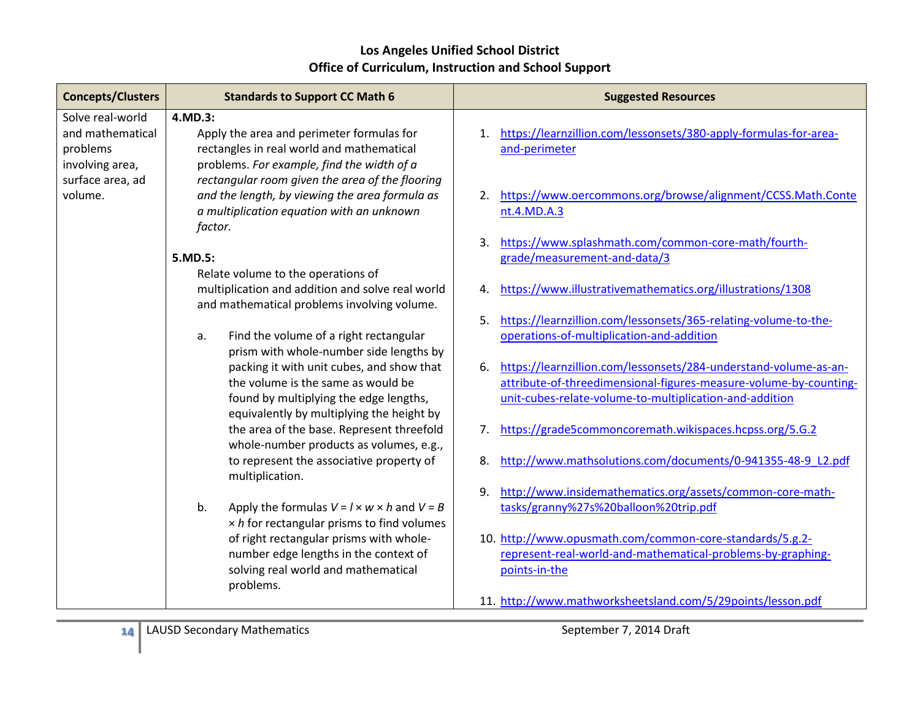| <b>Concepts/Clusters</b> | <b>Standards to Support CC Math 6</b>                                                   | <b>Suggested Resources</b>                                             |
|--------------------------|-----------------------------------------------------------------------------------------|------------------------------------------------------------------------|
| Solve real-world         | 4.MD.3:                                                                                 |                                                                        |
| and mathematical         | Apply the area and perimeter formulas for                                               | https://learnzillion.com/lessonsets/380-apply-formulas-for-area-<br>1. |
| problems                 | rectangles in real world and mathematical                                               | and-perimeter                                                          |
| involving area,          | problems. For example, find the width of a                                              |                                                                        |
| surface area, ad         | rectangular room given the area of the flooring                                         |                                                                        |
| volume.                  | and the length, by viewing the area formula as                                          | https://www.oercommons.org/browse/alignment/CCSS.Math.Conte<br>2.      |
|                          | a multiplication equation with an unknown                                               | nt.4.MD.A.3                                                            |
|                          | factor.                                                                                 |                                                                        |
|                          |                                                                                         | https://www.splashmath.com/common-core-math/fourth-<br>3.              |
|                          | 5.MD.5:                                                                                 | grade/measurement-and-data/3                                           |
|                          | Relate volume to the operations of                                                      |                                                                        |
|                          | multiplication and addition and solve real world                                        | https://www.illustrativemathematics.org/illustrations/1308<br>4.       |
|                          | and mathematical problems involving volume.                                             |                                                                        |
|                          |                                                                                         | https://learnzillion.com/lessonsets/365-relating-volume-to-the-<br>5.  |
|                          | Find the volume of a right rectangular<br>a.<br>prism with whole-number side lengths by | operations-of-multiplication-and-addition                              |
|                          | packing it with unit cubes, and show that                                               | https://learnzillion.com/lessonsets/284-understand-volume-as-an-<br>6. |
|                          | the volume is the same as would be                                                      | attribute-of-threedimensional-figures-measure-volume-by-counting-      |
|                          | found by multiplying the edge lengths,                                                  | unit-cubes-relate-volume-to-multiplication-and-addition                |
|                          | equivalently by multiplying the height by                                               |                                                                        |
|                          | the area of the base. Represent threefold                                               | https://grade5commoncoremath.wikispaces.hcpss.org/5.G.2<br>$7_{\cdot}$ |
|                          | whole-number products as volumes, e.g.,                                                 |                                                                        |
|                          | to represent the associative property of                                                | http://www.mathsolutions.com/documents/0-941355-48-9 L2.pdf<br>8.      |
|                          | multiplication.                                                                         |                                                                        |
|                          |                                                                                         | http://www.insidemathematics.org/assets/common-core-math-<br>9.        |
|                          | b.<br>Apply the formulas $V = I \times w \times h$ and $V = B$                          | tasks/granny%27s%20balloon%20trip.pdf                                  |
|                          | $\times$ h for rectangular prisms to find volumes                                       |                                                                        |
|                          | of right rectangular prisms with whole-                                                 | 10. http://www.opusmath.com/common-core-standards/5.g.2-               |
|                          | number edge lengths in the context of                                                   | represent-real-world-and-mathematical-problems-by-graphing-            |
|                          | solving real world and mathematical                                                     | points-in-the                                                          |
|                          | problems.                                                                               |                                                                        |
|                          |                                                                                         | 11. http://www.mathworksheetsland.com/5/29points/lesson.pdf            |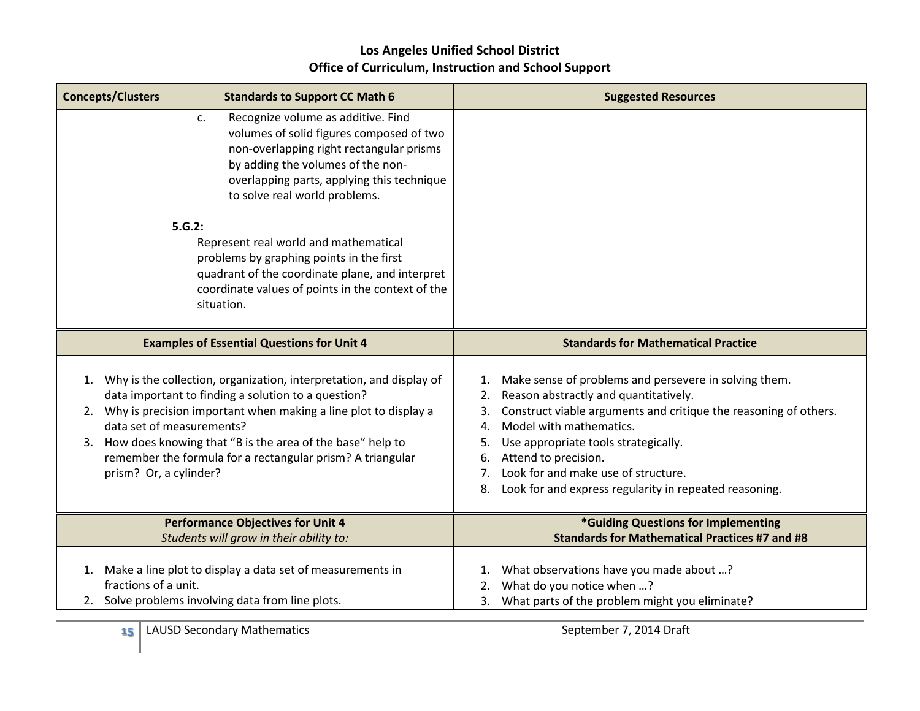| <b>Concepts/Clusters</b>                                                                                                                                                                                                                                                                                                                                                                          | <b>Standards to Support CC Math 6</b>                                                                                                                                                                                                                                                                                                                                                                                                                                     | <b>Suggested Resources</b>                                                                                                                                                                                                                                                                                                                                                                                  |
|---------------------------------------------------------------------------------------------------------------------------------------------------------------------------------------------------------------------------------------------------------------------------------------------------------------------------------------------------------------------------------------------------|---------------------------------------------------------------------------------------------------------------------------------------------------------------------------------------------------------------------------------------------------------------------------------------------------------------------------------------------------------------------------------------------------------------------------------------------------------------------------|-------------------------------------------------------------------------------------------------------------------------------------------------------------------------------------------------------------------------------------------------------------------------------------------------------------------------------------------------------------------------------------------------------------|
|                                                                                                                                                                                                                                                                                                                                                                                                   | Recognize volume as additive. Find<br>c.<br>volumes of solid figures composed of two<br>non-overlapping right rectangular prisms<br>by adding the volumes of the non-<br>overlapping parts, applying this technique<br>to solve real world problems.<br>5.G.2:<br>Represent real world and mathematical<br>problems by graphing points in the first<br>quadrant of the coordinate plane, and interpret<br>coordinate values of points in the context of the<br>situation. |                                                                                                                                                                                                                                                                                                                                                                                                             |
|                                                                                                                                                                                                                                                                                                                                                                                                   | <b>Examples of Essential Questions for Unit 4</b>                                                                                                                                                                                                                                                                                                                                                                                                                         | <b>Standards for Mathematical Practice</b>                                                                                                                                                                                                                                                                                                                                                                  |
| Why is the collection, organization, interpretation, and display of<br>1.<br>data important to finding a solution to a question?<br>Why is precision important when making a line plot to display a<br>2.<br>data set of measurements?<br>How does knowing that "B is the area of the base" help to<br>3.<br>remember the formula for a rectangular prism? A triangular<br>prism? Or, a cylinder? |                                                                                                                                                                                                                                                                                                                                                                                                                                                                           | 1. Make sense of problems and persevere in solving them.<br>Reason abstractly and quantitatively.<br>2.<br>Construct viable arguments and critique the reasoning of others.<br>3.<br>Model with mathematics.<br>4.<br>Use appropriate tools strategically.<br>5.<br>Attend to precision.<br>6.<br>Look for and make use of structure.<br>7.<br>Look for and express regularity in repeated reasoning.<br>8. |
|                                                                                                                                                                                                                                                                                                                                                                                                   | <b>Performance Objectives for Unit 4</b>                                                                                                                                                                                                                                                                                                                                                                                                                                  | *Guiding Questions for Implementing<br><b>Standards for Mathematical Practices #7 and #8</b>                                                                                                                                                                                                                                                                                                                |
|                                                                                                                                                                                                                                                                                                                                                                                                   | Students will grow in their ability to:                                                                                                                                                                                                                                                                                                                                                                                                                                   |                                                                                                                                                                                                                                                                                                                                                                                                             |
|                                                                                                                                                                                                                                                                                                                                                                                                   | 1. Make a line plot to display a data set of measurements in                                                                                                                                                                                                                                                                                                                                                                                                              | What observations have you made about ?<br>1.                                                                                                                                                                                                                                                                                                                                                               |
| fractions of a unit.                                                                                                                                                                                                                                                                                                                                                                              | 2. Solve problems involving data from line plots.                                                                                                                                                                                                                                                                                                                                                                                                                         | What do you notice when ?<br>2.<br>3. What parts of the problem might you eliminate?                                                                                                                                                                                                                                                                                                                        |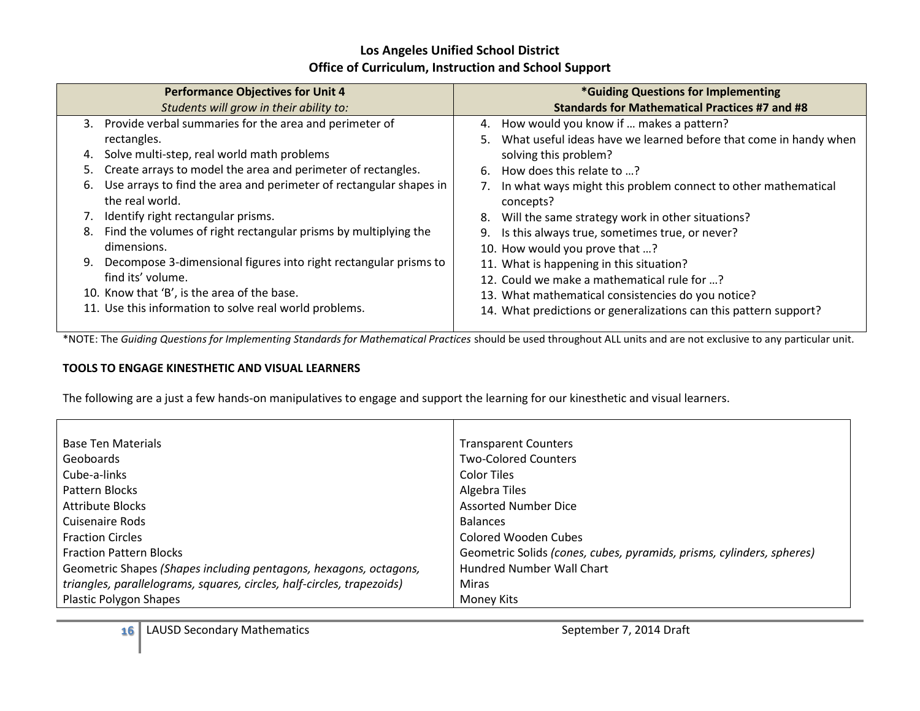|    | <b>Performance Objectives for Unit 4</b>                                              |    | *Guiding Questions for Implementing                                        |
|----|---------------------------------------------------------------------------------------|----|----------------------------------------------------------------------------|
|    | Students will grow in their ability to:                                               |    | <b>Standards for Mathematical Practices #7 and #8</b>                      |
| 3. | Provide verbal summaries for the area and perimeter of                                |    | 4. How would you know if  makes a pattern?                                 |
|    | rectangles.                                                                           |    | 5. What useful ideas have we learned before that come in handy when        |
| 4. | Solve multi-step, real world math problems                                            |    | solving this problem?                                                      |
| 5. | Create arrays to model the area and perimeter of rectangles.                          | 6. | How does this relate to ?                                                  |
| 6. | Use arrays to find the area and perimeter of rectangular shapes in<br>the real world. |    | In what ways might this problem connect to other mathematical<br>concepts? |
| 7. | Identify right rectangular prisms.                                                    |    | 8. Will the same strategy work in other situations?                        |
| 8. | Find the volumes of right rectangular prisms by multiplying the                       |    | 9. Is this always true, sometimes true, or never?                          |
|    | dimensions.                                                                           |    | 10. How would you prove that ?                                             |
| 9. | Decompose 3-dimensional figures into right rectangular prisms to                      |    | 11. What is happening in this situation?                                   |
|    | find its' volume.                                                                     |    | 12. Could we make a mathematical rule for ?                                |
|    | 10. Know that 'B', is the area of the base.                                           |    | 13. What mathematical consistencies do you notice?                         |
|    | 11. Use this information to solve real world problems.                                |    | 14. What predictions or generalizations can this pattern support?          |

\*NOTE: The *Guiding Questions for Implementing Standards for Mathematical Practices* should be used throughout ALL units and are not exclusive to any particular unit.

#### **TOOLS TO ENGAGE KINESTHETIC AND VISUAL LEARNERS**

The following are a just a few hands-on manipulatives to engage and support the learning for our kinesthetic and visual learners.

| <b>Base Ten Materials</b>                                              | <b>Transparent Counters</b>                                           |
|------------------------------------------------------------------------|-----------------------------------------------------------------------|
| Geoboards                                                              | <b>Two-Colored Counters</b>                                           |
| Cube-a-links                                                           | Color Tiles                                                           |
| Pattern Blocks                                                         | Algebra Tiles                                                         |
| <b>Attribute Blocks</b>                                                | <b>Assorted Number Dice</b>                                           |
| Cuisenaire Rods                                                        | <b>Balances</b>                                                       |
| <b>Fraction Circles</b>                                                | Colored Wooden Cubes                                                  |
| <b>Fraction Pattern Blocks</b>                                         | Geometric Solids (cones, cubes, pyramids, prisms, cylinders, spheres) |
| Geometric Shapes (Shapes including pentagons, hexagons, octagons,      | <b>Hundred Number Wall Chart</b>                                      |
| triangles, parallelograms, squares, circles, half-circles, trapezoids) | Miras                                                                 |
| <b>Plastic Polygon Shapes</b>                                          | Money Kits                                                            |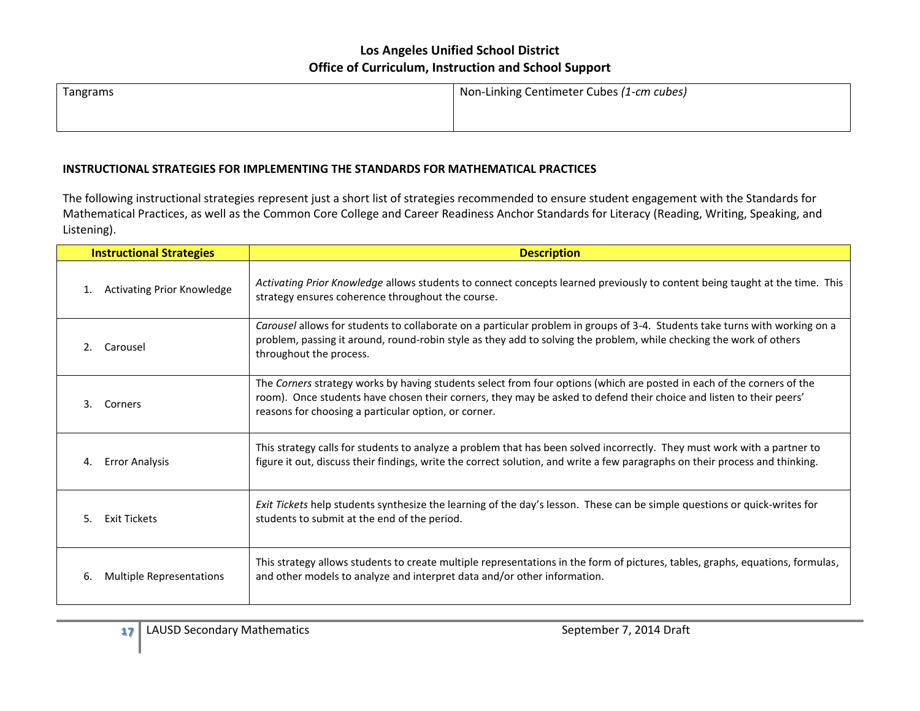| Tangrams | Non-Linking Centimeter Cubes (1-cm cubes) |
|----------|-------------------------------------------|
|          |                                           |

#### **INSTRUCTIONAL STRATEGIES FOR IMPLEMENTING THE STANDARDS FOR MATHEMATICAL PRACTICES**

The following instructional strategies represent just a short list of strategies recommended to ensure student engagement with the Standards for Mathematical Practices, as well as the Common Core College and Career Readiness Anchor Standards for Literacy (Reading, Writing, Speaking, and Listening).

| <b>Instructional Strategies</b>   | <b>Description</b>                                                                                                                                                                                                                                                                                    |
|-----------------------------------|-------------------------------------------------------------------------------------------------------------------------------------------------------------------------------------------------------------------------------------------------------------------------------------------------------|
| <b>Activating Prior Knowledge</b> | Activating Prior Knowledge allows students to connect concepts learned previously to content being taught at the time. This                                                                                                                                                                           |
| 1.                                | strategy ensures coherence throughout the course.                                                                                                                                                                                                                                                     |
| Carousel<br>2.                    | Carousel allows for students to collaborate on a particular problem in groups of 3-4. Students take turns with working on a<br>problem, passing it around, round-robin style as they add to solving the problem, while checking the work of others<br>throughout the process.                         |
| 3.<br>Corners                     | The Corners strategy works by having students select from four options (which are posted in each of the corners of the<br>room). Once students have chosen their corners, they may be asked to defend their choice and listen to their peers'<br>reasons for choosing a particular option, or corner. |
| <b>Error Analysis</b>             | This strategy calls for students to analyze a problem that has been solved incorrectly. They must work with a partner to                                                                                                                                                                              |
| 4.                                | figure it out, discuss their findings, write the correct solution, and write a few paragraphs on their process and thinking.                                                                                                                                                                          |
| 5.                                | Exit Tickets help students synthesize the learning of the day's lesson. These can be simple questions or quick-writes for                                                                                                                                                                             |
| <b>Exit Tickets</b>               | students to submit at the end of the period.                                                                                                                                                                                                                                                          |
| Multiple Representations          | This strategy allows students to create multiple representations in the form of pictures, tables, graphs, equations, formulas,                                                                                                                                                                        |
| 6.                                | and other models to analyze and interpret data and/or other information.                                                                                                                                                                                                                              |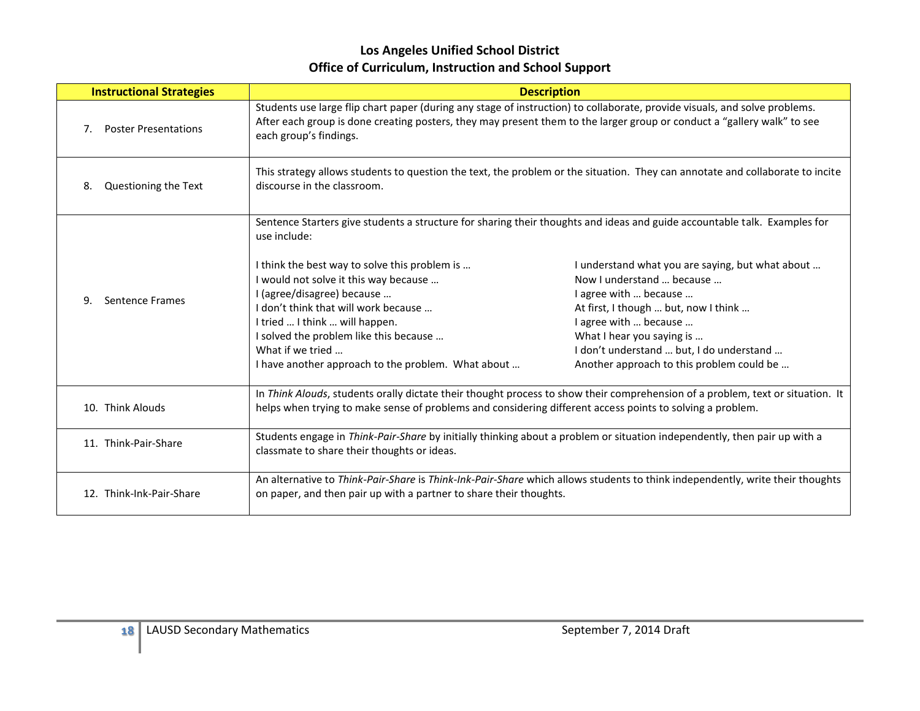| <b>Instructional Strategies</b>   |                                                                                                                                                                                                                                                                                                                    | <b>Description</b>                                                                                                                                                                                                                                                                            |  |
|-----------------------------------|--------------------------------------------------------------------------------------------------------------------------------------------------------------------------------------------------------------------------------------------------------------------------------------------------------------------|-----------------------------------------------------------------------------------------------------------------------------------------------------------------------------------------------------------------------------------------------------------------------------------------------|--|
| <b>Poster Presentations</b><br>7. | Students use large flip chart paper (during any stage of instruction) to collaborate, provide visuals, and solve problems.<br>After each group is done creating posters, they may present them to the larger group or conduct a "gallery walk" to see<br>each group's findings.                                    |                                                                                                                                                                                                                                                                                               |  |
| Questioning the Text<br>8.        | This strategy allows students to question the text, the problem or the situation. They can annotate and collaborate to incite<br>discourse in the classroom.                                                                                                                                                       |                                                                                                                                                                                                                                                                                               |  |
|                                   | Sentence Starters give students a structure for sharing their thoughts and ideas and guide accountable talk. Examples for<br>use include:                                                                                                                                                                          |                                                                                                                                                                                                                                                                                               |  |
| Sentence Frames<br>q              | I think the best way to solve this problem is<br>I would not solve it this way because<br>I (agree/disagree) because<br>I don't think that will work because<br>I tried  I think  will happen.<br>I solved the problem like this because<br>What if we tried<br>I have another approach to the problem. What about | I understand what you are saying, but what about<br>Now I understand  because<br>I agree with  because<br>At first, I though  but, now I think<br>I agree with  because<br>What I hear you saying is<br>I don't understand  but, I do understand<br>Another approach to this problem could be |  |
| 10. Think Alouds                  | In Think Alouds, students orally dictate their thought process to show their comprehension of a problem, text or situation. It<br>helps when trying to make sense of problems and considering different access points to solving a problem.                                                                        |                                                                                                                                                                                                                                                                                               |  |
| 11. Think-Pair-Share              | Students engage in Think-Pair-Share by initially thinking about a problem or situation independently, then pair up with a<br>classmate to share their thoughts or ideas.                                                                                                                                           |                                                                                                                                                                                                                                                                                               |  |
| 12. Think-Ink-Pair-Share          | An alternative to Think-Pair-Share is Think-Ink-Pair-Share which allows students to think independently, write their thoughts<br>on paper, and then pair up with a partner to share their thoughts.                                                                                                                |                                                                                                                                                                                                                                                                                               |  |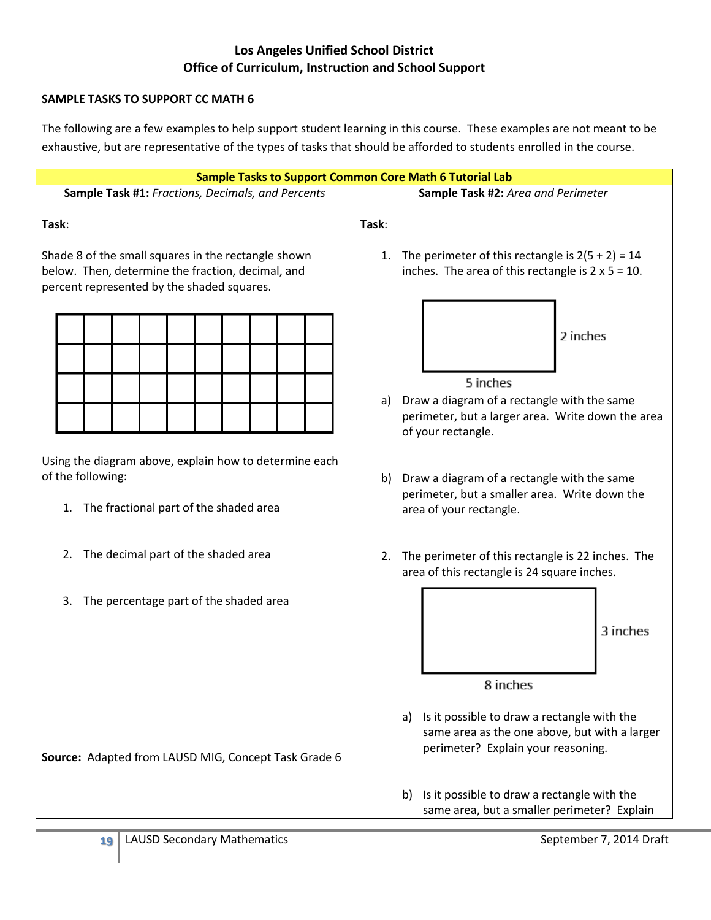#### **SAMPLE TASKS TO SUPPORT CC MATH 6**

The following are a few examples to help support student learning in this course. These examples are not meant to be exhaustive, but are representative of the types of tasks that should be afforded to students enrolled in the course.

| <b>Sample Tasks to Support Common Core Math 6 Tutorial Lab</b>                                                                                         |                                                                                                                                          |
|--------------------------------------------------------------------------------------------------------------------------------------------------------|------------------------------------------------------------------------------------------------------------------------------------------|
| Sample Task #1: Fractions, Decimals, and Percents                                                                                                      | Sample Task #2: Area and Perimeter                                                                                                       |
| Task:                                                                                                                                                  | Task:                                                                                                                                    |
| Shade 8 of the small squares in the rectangle shown<br>below. Then, determine the fraction, decimal, and<br>percent represented by the shaded squares. | 1. The perimeter of this rectangle is $2(5 + 2) = 14$<br>inches. The area of this rectangle is $2 \times 5 = 10$ .                       |
|                                                                                                                                                        | 2 inches                                                                                                                                 |
|                                                                                                                                                        | 5 inches<br>Draw a diagram of a rectangle with the same<br>a)<br>perimeter, but a larger area. Write down the area<br>of your rectangle. |
| Using the diagram above, explain how to determine each<br>of the following:<br>The fractional part of the shaded area<br>1.                            | b) Draw a diagram of a rectangle with the same<br>perimeter, but a smaller area. Write down the<br>area of your rectangle.               |
| The decimal part of the shaded area<br>2.                                                                                                              | The perimeter of this rectangle is 22 inches. The<br>2.<br>area of this rectangle is 24 square inches.                                   |
| The percentage part of the shaded area<br>3.                                                                                                           | 3 inches                                                                                                                                 |
|                                                                                                                                                        | 8 inches                                                                                                                                 |
| Source: Adapted from LAUSD MIG, Concept Task Grade 6                                                                                                   | a) Is it possible to draw a rectangle with the<br>same area as the one above, but with a larger<br>perimeter? Explain your reasoning.    |
|                                                                                                                                                        | Is it possible to draw a rectangle with the<br>b)<br>same area, but a smaller perimeter? Explain                                         |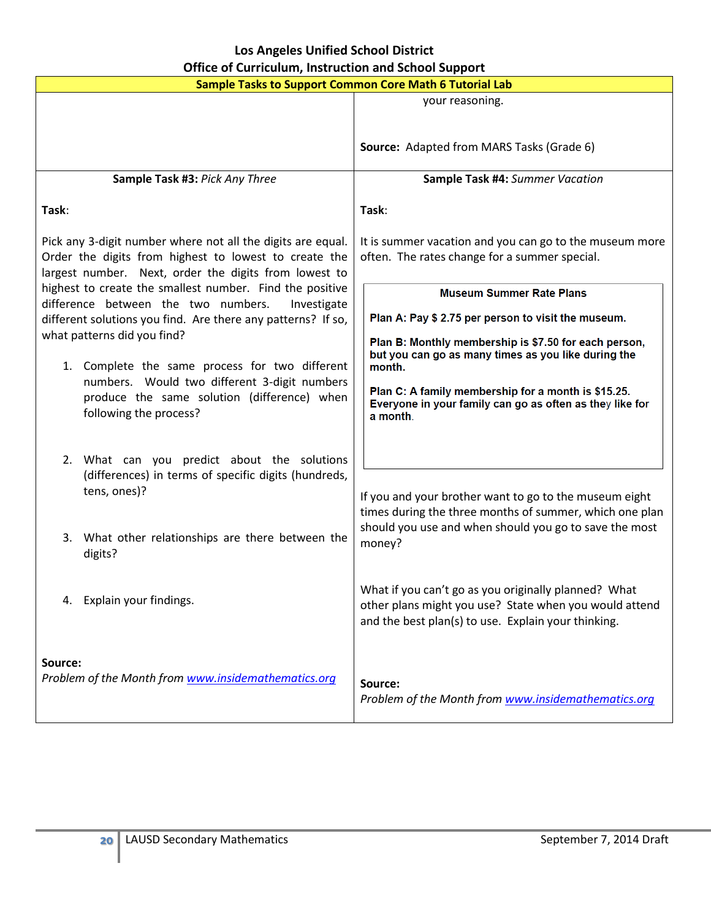| <b>Sample Tasks to Support Common Core Math 6 Tutorial Lab</b>                                                                                                                |                                                                                                                                                                       |  |
|-------------------------------------------------------------------------------------------------------------------------------------------------------------------------------|-----------------------------------------------------------------------------------------------------------------------------------------------------------------------|--|
|                                                                                                                                                                               | your reasoning.                                                                                                                                                       |  |
|                                                                                                                                                                               | Source: Adapted from MARS Tasks (Grade 6)                                                                                                                             |  |
| Sample Task #3: Pick Any Three                                                                                                                                                | Sample Task #4: Summer Vacation                                                                                                                                       |  |
| Task:                                                                                                                                                                         | Task:                                                                                                                                                                 |  |
| Pick any 3-digit number where not all the digits are equal.<br>Order the digits from highest to lowest to create the<br>largest number. Next, order the digits from lowest to | It is summer vacation and you can go to the museum more<br>often. The rates change for a summer special.                                                              |  |
| highest to create the smallest number. Find the positive<br>difference between the two numbers.<br>Investigate                                                                | <b>Museum Summer Rate Plans</b>                                                                                                                                       |  |
| different solutions you find. Are there any patterns? If so,                                                                                                                  | Plan A: Pay \$ 2.75 per person to visit the museum.                                                                                                                   |  |
| what patterns did you find?<br>1. Complete the same process for two different<br>numbers. Would two different 3-digit numbers                                                 | Plan B: Monthly membership is \$7.50 for each person,<br>but you can go as many times as you like during the<br>month.                                                |  |
| produce the same solution (difference) when<br>following the process?                                                                                                         | Plan C: A family membership for a month is \$15.25.<br>Everyone in your family can go as often as they like for<br>a month.                                           |  |
| 2. What can you predict about the solutions                                                                                                                                   |                                                                                                                                                                       |  |
| (differences) in terms of specific digits (hundreds,<br>tens, ones)?                                                                                                          | If you and your brother want to go to the museum eight<br>times during the three months of summer, which one plan                                                     |  |
| 3. What other relationships are there between the<br>digits?                                                                                                                  | should you use and when should you go to save the most<br>money?                                                                                                      |  |
| Explain your findings.<br>4.                                                                                                                                                  | What if you can't go as you originally planned? What<br>other plans might you use? State when you would attend<br>and the best plan(s) to use. Explain your thinking. |  |
| Source:<br>Problem of the Month from www.insidemathematics.org                                                                                                                | Source:<br>Problem of the Month from www.insidemathematics.org                                                                                                        |  |